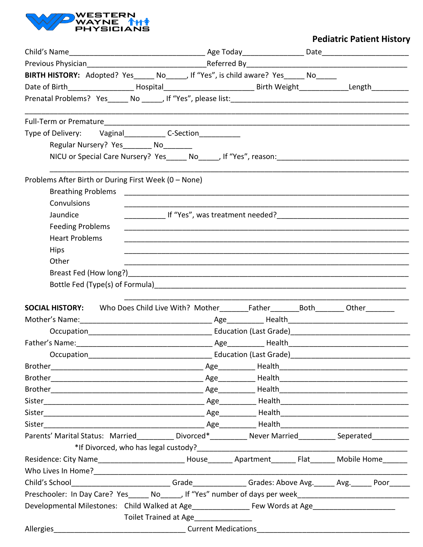

## **Pediatric Patient History**

|                                                                                                                                                                                                                                | BIRTH HISTORY: Adopted? Yes_____ No_____, If "Yes", is child aware? Yes_____ No_____                                 |  |  |  |  |
|--------------------------------------------------------------------------------------------------------------------------------------------------------------------------------------------------------------------------------|----------------------------------------------------------------------------------------------------------------------|--|--|--|--|
|                                                                                                                                                                                                                                | Date of Birth_____________________Hospital________________________________Birth Weight______________Length__________ |  |  |  |  |
|                                                                                                                                                                                                                                |                                                                                                                      |  |  |  |  |
|                                                                                                                                                                                                                                |                                                                                                                      |  |  |  |  |
|                                                                                                                                                                                                                                |                                                                                                                      |  |  |  |  |
| Type of Delivery: Vaginal_______________C-Section______________                                                                                                                                                                |                                                                                                                      |  |  |  |  |
| Regular Nursery? Yes________ No_______                                                                                                                                                                                         |                                                                                                                      |  |  |  |  |
|                                                                                                                                                                                                                                |                                                                                                                      |  |  |  |  |
|                                                                                                                                                                                                                                |                                                                                                                      |  |  |  |  |
| Problems After Birth or During First Week (0 - None)                                                                                                                                                                           |                                                                                                                      |  |  |  |  |
|                                                                                                                                                                                                                                |                                                                                                                      |  |  |  |  |
| Convulsions                                                                                                                                                                                                                    |                                                                                                                      |  |  |  |  |
| Jaundice                                                                                                                                                                                                                       |                                                                                                                      |  |  |  |  |
| <b>Feeding Problems</b>                                                                                                                                                                                                        |                                                                                                                      |  |  |  |  |
| <b>Heart Problems</b>                                                                                                                                                                                                          |                                                                                                                      |  |  |  |  |
| <b>Hips</b>                                                                                                                                                                                                                    |                                                                                                                      |  |  |  |  |
| Other                                                                                                                                                                                                                          |                                                                                                                      |  |  |  |  |
|                                                                                                                                                                                                                                |                                                                                                                      |  |  |  |  |
|                                                                                                                                                                                                                                |                                                                                                                      |  |  |  |  |
|                                                                                                                                                                                                                                |                                                                                                                      |  |  |  |  |
| <b>SOCIAL HISTORY:</b> Who Does Child Live With? Mother________Father________Both________Other________                                                                                                                         |                                                                                                                      |  |  |  |  |
|                                                                                                                                                                                                                                |                                                                                                                      |  |  |  |  |
|                                                                                                                                                                                                                                |                                                                                                                      |  |  |  |  |
|                                                                                                                                                                                                                                |                                                                                                                      |  |  |  |  |
| Occupation                                                                                                                                                                                                                     | <b>Education (Last Grade)</b>                                                                                        |  |  |  |  |
|                                                                                                                                                                                                                                |                                                                                                                      |  |  |  |  |
|                                                                                                                                                                                                                                |                                                                                                                      |  |  |  |  |
|                                                                                                                                                                                                                                |                                                                                                                      |  |  |  |  |
|                                                                                                                                                                                                                                |                                                                                                                      |  |  |  |  |
|                                                                                                                                                                                                                                |                                                                                                                      |  |  |  |  |
| Sister                                                                                                                                                                                                                         |                                                                                                                      |  |  |  |  |
| Parents' Marital Status: Married___________ Divorced*___________ Never Married__________ Seperated_________                                                                                                                    |                                                                                                                      |  |  |  |  |
|                                                                                                                                                                                                                                |                                                                                                                      |  |  |  |  |
|                                                                                                                                                                                                                                |                                                                                                                      |  |  |  |  |
|                                                                                                                                                                                                                                |                                                                                                                      |  |  |  |  |
| Child's School___________________________Grade______________Grades: Above Avg.______ Avg.______ Poor_____                                                                                                                      |                                                                                                                      |  |  |  |  |
| Preschooler: In Day Care? Yes______ No______, If "Yes" number of days per week________________________________                                                                                                                 |                                                                                                                      |  |  |  |  |
|                                                                                                                                                                                                                                |                                                                                                                      |  |  |  |  |
|                                                                                                                                                                                                                                | Toilet Trained at Age                                                                                                |  |  |  |  |
| Allergies and the contract contract Current Medications and the contract of the contract of the contract of the contract of the contract of the contract of the contract of the contract of the contract of the contract of th |                                                                                                                      |  |  |  |  |